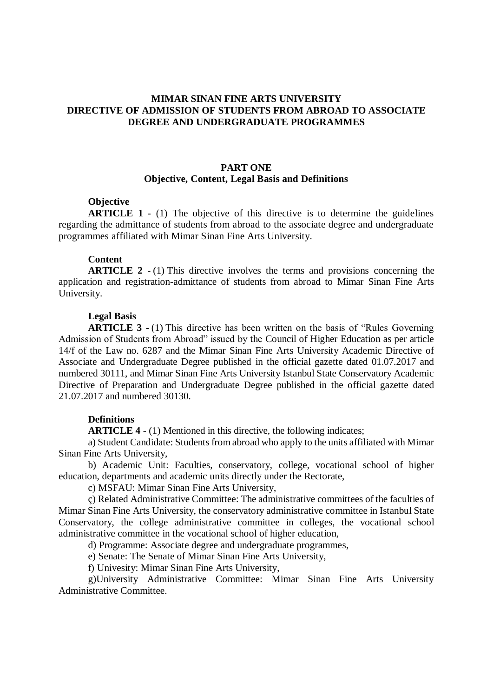## **MIMAR SINAN FINE ARTS UNIVERSITY DIRECTIVE OF ADMISSION OF STUDENTS FROM ABROAD TO ASSOCIATE DEGREE AND UNDERGRADUATE PROGRAMMES**

## **PART ONE Objective, Content, Legal Basis and Definitions**

#### **Objective**

**ARTICLE 1** - (1) The objective of this directive is to determine the guidelines regarding the admittance of students from abroad to the associate degree and undergraduate programmes affiliated with Mimar Sinan Fine Arts University.

#### **Content**

**ARTICLE 2 -** (1) This directive involves the terms and provisions concerning the application and registration-admittance of students from abroad to Mimar Sinan Fine Arts University.

#### **Legal Basis**

**ARTICLE 3 -** (1) This directive has been written on the basis of "Rules Governing Admission of Students from Abroad" issued by the Council of Higher Education as per article 14/f of the Law no. 6287 and the Mimar Sinan Fine Arts University Academic Directive of Associate and Undergraduate Degree published in the official gazette dated 01.07.2017 and numbered 30111, and Mimar Sinan Fine Arts University Istanbul State Conservatory Academic Directive of Preparation and Undergraduate Degree published in the official gazette dated 21.07.2017 and numbered 30130.

#### **Definitions**

**ARTICLE 4** - (1) Mentioned in this directive, the following indicates;

a) Student Candidate: Students from abroad who apply to the units affiliated with Mimar Sinan Fine Arts University,

b) Academic Unit: Faculties, conservatory, college, vocational school of higher education, departments and academic units directly under the Rectorate,

c) MSFAU: Mimar Sinan Fine Arts University,

ç) Related Administrative Committee: The administrative committees of the faculties of Mimar Sinan Fine Arts University, the conservatory administrative committee in Istanbul State Conservatory, the college administrative committee in colleges, the vocational school administrative committee in the vocational school of higher education,

d) Programme: Associate degree and undergraduate programmes,

e) Senate: The Senate of Mimar Sinan Fine Arts University,

f) Univesity: Mimar Sinan Fine Arts University,

g)University Administrative Committee: Mimar Sinan Fine Arts University Administrative Committee.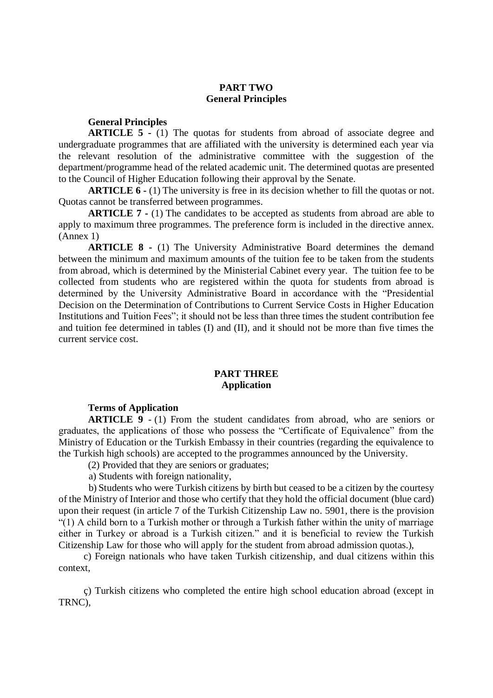# **PART TWO General Principles**

#### **General Principles**

**ARTICLE 5 -** (1) The quotas for students from abroad of associate degree and undergraduate programmes that are affiliated with the university is determined each year via the relevant resolution of the administrative committee with the suggestion of the department/programme head of the related academic unit. The determined quotas are presented to the Council of Higher Education following their approval by the Senate.

**ARTICLE 6 -** (1) The university is free in its decision whether to fill the quotas or not. Quotas cannot be transferred between programmes.

**ARTICLE 7 -** (1) The candidates to be accepted as students from abroad are able to apply to maximum three programmes. The preference form is included in the directive annex. (Annex 1)

**ARTICLE 8 -** (1) The University Administrative Board determines the demand between the minimum and maximum amounts of the tuition fee to be taken from the students from abroad, which is determined by the Ministerial Cabinet every year. The tuition fee to be collected from students who are registered within the quota for students from abroad is determined by the University Administrative Board in accordance with the "Presidential Decision on the Determination of Contributions to Current Service Costs in Higher Education Institutions and Tuition Fees"; it should not be less than three times the student contribution fee and tuition fee determined in tables (I) and (II), and it should not be more than five times the current service cost.

### **PART THREE Application**

#### **Terms of Application**

**ARTICLE 9** - (1) From the student candidates from abroad, who are seniors or graduates, the applications of those who possess the "Certificate of Equivalence" from the Ministry of Education or the Turkish Embassy in their countries (regarding the equivalence to the Turkish high schools) are accepted to the programmes announced by the University.

(2) Provided that they are seniors or graduates;

a) Students with foreign nationality,

 b) Students who were Turkish citizens by birth but ceased to be a citizen by the courtesy of the Ministry of Interior and those who certify that they hold the official document (blue card) upon their request (in article 7 of the Turkish Citizenship Law no. 5901, there is the provision "(1) A child born to a Turkish mother or through a Turkish father within the unity of marriage either in Turkey or abroad is a Turkish citizen." and it is beneficial to review the Turkish Citizenship Law for those who will apply for the student from abroad admission quotas.),

 c) Foreign nationals who have taken Turkish citizenship, and dual citizens within this context,

 ç) Turkish citizens who completed the entire high school education abroad (except in TRNC),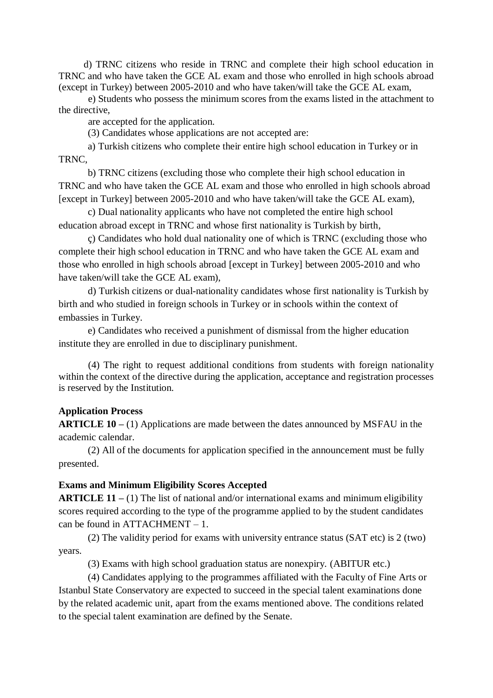d) TRNC citizens who reside in TRNC and complete their high school education in TRNC and who have taken the GCE AL exam and those who enrolled in high schools abroad (except in Turkey) between 2005-2010 and who have taken/will take the GCE AL exam,

e) Students who possess the minimum scores from the exams listed in the attachment to the directive,

are accepted for the application.

(3) Candidates whose applications are not accepted are:

a) Turkish citizens who complete their entire high school education in Turkey or in TRNC,

b) TRNC citizens (excluding those who complete their high school education in TRNC and who have taken the GCE AL exam and those who enrolled in high schools abroad [except in Turkey] between 2005-2010 and who have taken/will take the GCE AL exam),

c) Dual nationality applicants who have not completed the entire high school education abroad except in TRNC and whose first nationality is Turkish by birth,

ç) Candidates who hold dual nationality one of which is TRNC (excluding those who complete their high school education in TRNC and who have taken the GCE AL exam and those who enrolled in high schools abroad [except in Turkey] between 2005-2010 and who have taken/will take the GCE AL exam),

d) Turkish citizens or dual-nationality candidates whose first nationality is Turkish by birth and who studied in foreign schools in Turkey or in schools within the context of embassies in Turkey.

e) Candidates who received a punishment of dismissal from the higher education institute they are enrolled in due to disciplinary punishment.

(4) The right to request additional conditions from students with foreign nationality within the context of the directive during the application, acceptance and registration processes is reserved by the Institution.

# **Application Process**

**ARTICLE 10 –** (1) Applications are made between the dates announced by MSFAU in the academic calendar.

(2) All of the documents for application specified in the announcement must be fully presented.

# **Exams and Minimum Eligibility Scores Accepted**

**ARTICLE 11 –** (1) The list of national and/or international exams and minimum eligibility scores required according to the type of the programme applied to by the student candidates can be found in ATTACHMENT – 1.

(2) The validity period for exams with university entrance status (SAT etc) is 2 (two) years.

(3) Exams with high school graduation status are nonexpiry. (ABITUR etc.)

(4) Candidates applying to the programmes affiliated with the Faculty of Fine Arts or Istanbul State Conservatory are expected to succeed in the special talent examinations done by the related academic unit, apart from the exams mentioned above. The conditions related to the special talent examination are defined by the Senate.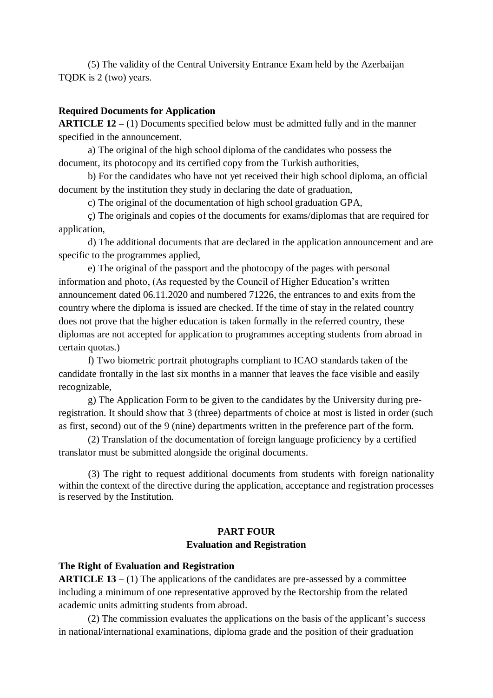(5) The validity of the Central University Entrance Exam held by the Azerbaijan TQDK is 2 (two) years.

## **Required Documents for Application**

**ARTICLE 12 –** (1) Documents specified below must be admitted fully and in the manner specified in the announcement.

a) The original of the high school diploma of the candidates who possess the document, its photocopy and its certified copy from the Turkish authorities,

b) For the candidates who have not yet received their high school diploma, an official document by the institution they study in declaring the date of graduation,

c) The original of the documentation of high school graduation GPA,

ç) The originals and copies of the documents for exams/diplomas that are required for application,

d) The additional documents that are declared in the application announcement and are specific to the programmes applied,

e) The original of the passport and the photocopy of the pages with personal information and photo, (As requested by the Council of Higher Education's written announcement dated 06.11.2020 and numbered 71226, the entrances to and exits from the country where the diploma is issued are checked. If the time of stay in the related country does not prove that the higher education is taken formally in the referred country, these diplomas are not accepted for application to programmes accepting students from abroad in certain quotas.)

f) Two biometric portrait photographs compliant to ICAO standards taken of the candidate frontally in the last six months in a manner that leaves the face visible and easily recognizable,

g) The Application Form to be given to the candidates by the University during preregistration. It should show that 3 (three) departments of choice at most is listed in order (such as first, second) out of the 9 (nine) departments written in the preference part of the form.

(2) Translation of the documentation of foreign language proficiency by a certified translator must be submitted alongside the original documents.

(3) The right to request additional documents from students with foreign nationality within the context of the directive during the application, acceptance and registration processes is reserved by the Institution.

# **PART FOUR Evaluation and Registration**

## **The Right of Evaluation and Registration**

**ARTICLE 13 –** (1) The applications of the candidates are pre-assessed by a committee including a minimum of one representative approved by the Rectorship from the related academic units admitting students from abroad.

(2) The commission evaluates the applications on the basis of the applicant's success in national/international examinations, diploma grade and the position of their graduation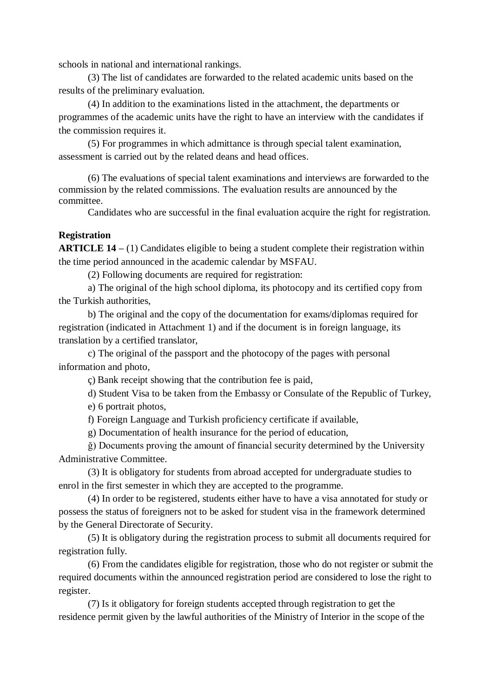schools in national and international rankings.

(3) The list of candidates are forwarded to the related academic units based on the results of the preliminary evaluation.

(4) In addition to the examinations listed in the attachment, the departments or programmes of the academic units have the right to have an interview with the candidates if the commission requires it.

(5) For programmes in which admittance is through special talent examination, assessment is carried out by the related deans and head offices.

(6) The evaluations of special talent examinations and interviews are forwarded to the commission by the related commissions. The evaluation results are announced by the committee.

Candidates who are successful in the final evaluation acquire the right for registration.

### **Registration**

**ARTICLE 14 –** (1) Candidates eligible to being a student complete their registration within the time period announced in the academic calendar by MSFAU.

(2) Following documents are required for registration:

a) The original of the high school diploma, its photocopy and its certified copy from the Turkish authorities,

b) The original and the copy of the documentation for exams/diplomas required for registration (indicated in Attachment 1) and if the document is in foreign language, its translation by a certified translator,

c) The original of the passport and the photocopy of the pages with personal information and photo,

ç) Bank receipt showing that the contribution fee is paid,

d) Student Visa to be taken from the Embassy or Consulate of the Republic of Turkey,

e) 6 portrait photos,

f) Foreign Language and Turkish proficiency certificate if available,

g) Documentation of health insurance for the period of education,

ğ) Documents proving the amount of financial security determined by the University Administrative Committee.

(3) It is obligatory for students from abroad accepted for undergraduate studies to enrol in the first semester in which they are accepted to the programme.

(4) In order to be registered, students either have to have a visa annotated for study or possess the status of foreigners not to be asked for student visa in the framework determined by the General Directorate of Security.

(5) It is obligatory during the registration process to submit all documents required for registration fully.

(6) From the candidates eligible for registration, those who do not register or submit the required documents within the announced registration period are considered to lose the right to register.

(7) Is it obligatory for foreign students accepted through registration to get the residence permit given by the lawful authorities of the Ministry of Interior in the scope of the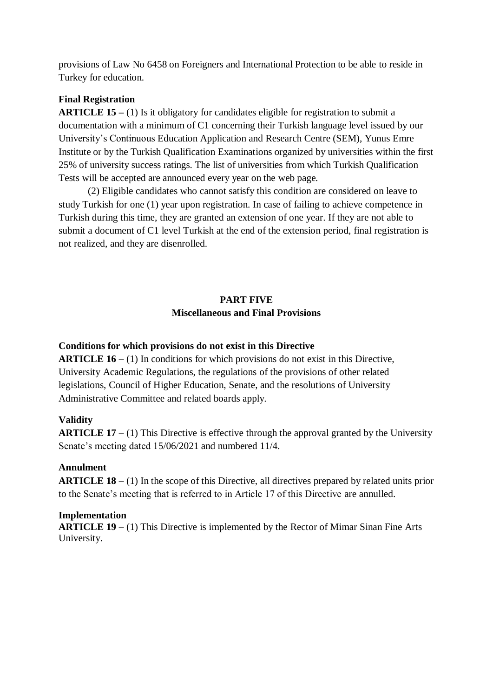provisions of Law No 6458 on Foreigners and International Protection to be able to reside in Turkey for education.

# **Final Registration**

**ARTICLE 15 –** (1) Is it obligatory for candidates eligible for registration to submit a documentation with a minimum of C1 concerning their Turkish language level issued by our University's Continuous Education Application and Research Centre (SEM), Yunus Emre Institute or by the Turkish Qualification Examinations organized by universities within the first 25% of university success ratings. The list of universities from which Turkish Qualification Tests will be accepted are announced every year on the web page.

(2) Eligible candidates who cannot satisfy this condition are considered on leave to study Turkish for one (1) year upon registration. In case of failing to achieve competence in Turkish during this time, they are granted an extension of one year. If they are not able to submit a document of C1 level Turkish at the end of the extension period, final registration is not realized, and they are disenrolled.

# **PART FIVE Miscellaneous and Final Provisions**

# **Conditions for which provisions do not exist in this Directive**

**ARTICLE 16 –** (1) In conditions for which provisions do not exist in this Directive, University Academic Regulations, the regulations of the provisions of other related legislations, Council of Higher Education, Senate, and the resolutions of University Administrative Committee and related boards apply.

# **Validity**

**ARTICLE 17 –** (1) This Directive is effective through the approval granted by the University Senate's meeting dated 15/06/2021 and numbered 11/4.

# **Annulment**

**ARTICLE 18 –** (1) In the scope of this Directive, all directives prepared by related units prior to the Senate's meeting that is referred to in Article 17 of this Directive are annulled.

## **Implementation**

**ARTICLE 19 –** (1) This Directive is implemented by the Rector of Mimar Sinan Fine Arts University.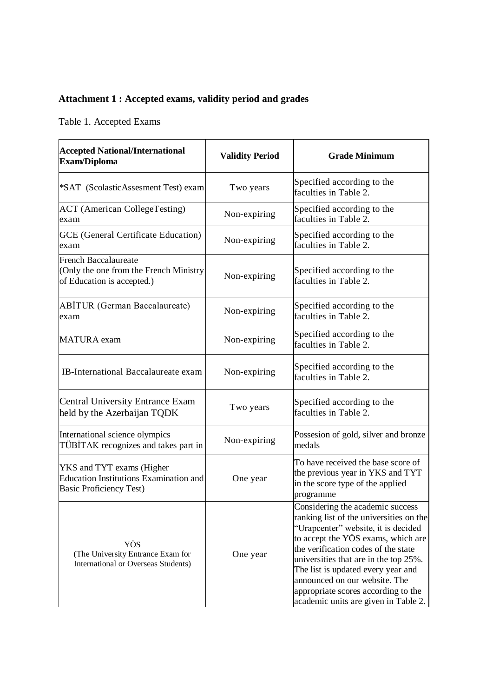# **Attachment 1 : Accepted exams, validity period and grades**

Table 1. Accepted Exams

| <b>Accepted National/International</b><br>Exam/Diploma                                                       | <b>Validity Period</b> | <b>Grade Minimum</b>                                                                                                                                                                                                                                                                                                                                                                           |
|--------------------------------------------------------------------------------------------------------------|------------------------|------------------------------------------------------------------------------------------------------------------------------------------------------------------------------------------------------------------------------------------------------------------------------------------------------------------------------------------------------------------------------------------------|
| *SAT (ScolasticAssesment Test) exam                                                                          | Two years              | Specified according to the<br>faculties in Table 2.                                                                                                                                                                                                                                                                                                                                            |
| <b>ACT</b> (American CollegeTesting)<br>exam                                                                 | Non-expiring           | Specified according to the<br>faculties in Table 2.                                                                                                                                                                                                                                                                                                                                            |
| GCE (General Certificate Education)<br>exam                                                                  | Non-expiring           | Specified according to the<br>faculties in Table 2.                                                                                                                                                                                                                                                                                                                                            |
| <b>French Baccalaureate</b><br>(Only the one from the French Ministry<br>of Education is accepted.)          | Non-expiring           | Specified according to the<br>faculties in Table 2.                                                                                                                                                                                                                                                                                                                                            |
| <b>ABİTUR (German Baccalaureate)</b><br>exam                                                                 | Non-expiring           | Specified according to the<br>faculties in Table 2.                                                                                                                                                                                                                                                                                                                                            |
| <b>MATURA</b> exam                                                                                           | Non-expiring           | Specified according to the<br>faculties in Table 2.                                                                                                                                                                                                                                                                                                                                            |
| <b>IB-International Baccalaureate exam</b>                                                                   | Non-expiring           | Specified according to the<br>faculties in Table 2.                                                                                                                                                                                                                                                                                                                                            |
| <b>Central University Entrance Exam</b><br>held by the Azerbaijan TQDK                                       | Two years              | Specified according to the<br>faculties in Table 2.                                                                                                                                                                                                                                                                                                                                            |
| International science olympics<br>TÜBİTAK recognizes and takes part in                                       | Non-expiring           | Possesion of gold, silver and bronze<br>medals                                                                                                                                                                                                                                                                                                                                                 |
| YKS and TYT exams (Higher<br><b>Education Institutions Examination and</b><br><b>Basic Proficiency Test)</b> | One year               | To have received the base score of<br>the previous year in YKS and TYT<br>in the score type of the applied<br>programme                                                                                                                                                                                                                                                                        |
| YÖS<br>(The University Entrance Exam for<br>International or Overseas Students)                              | One year               | Considering the academic success<br>ranking list of the universities on the<br>"Urapcenter" website, it is decided<br>to accept the YÖS exams, which are<br>the verification codes of the state<br>universities that are in the top 25%.<br>The list is updated every year and<br>announced on our website. The<br>appropriate scores according to the<br>academic units are given in Table 2. |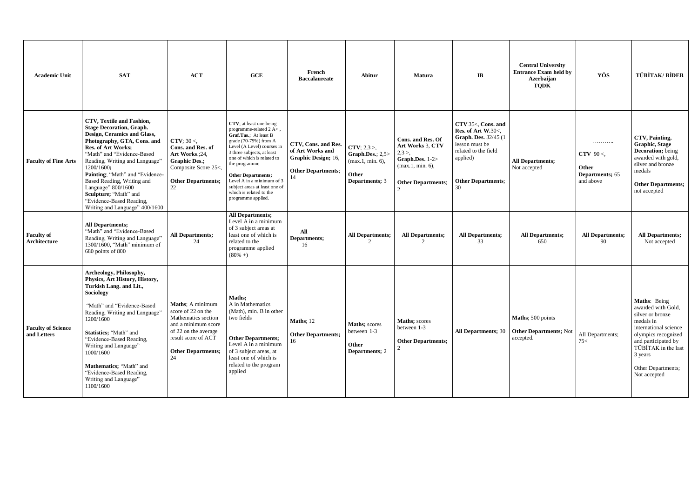| <b>Academic Unit</b>                     | <b>SAT</b>                                                                                                                                                                                                                                                                                                                                                                                                          | ACT                                                                                                                                                                           | GCE                                                                                                                                                                                                                                                                                                                                                         | French<br><b>Baccalaureate</b>                                                              | Abitur                                                                                | Matura                                                                                                                                   | $\mathbf{I}$ <b>B</b>                                                                                                                                                | <b>Central University</b><br><b>Entrance Exam held by</b><br>Azerbaijan<br><b>TQDK</b> | YÖS                                                       | <b>TÜBİTAK/BİDEB</b>                                                                                                                                                                                               |
|------------------------------------------|---------------------------------------------------------------------------------------------------------------------------------------------------------------------------------------------------------------------------------------------------------------------------------------------------------------------------------------------------------------------------------------------------------------------|-------------------------------------------------------------------------------------------------------------------------------------------------------------------------------|-------------------------------------------------------------------------------------------------------------------------------------------------------------------------------------------------------------------------------------------------------------------------------------------------------------------------------------------------------------|---------------------------------------------------------------------------------------------|---------------------------------------------------------------------------------------|------------------------------------------------------------------------------------------------------------------------------------------|----------------------------------------------------------------------------------------------------------------------------------------------------------------------|----------------------------------------------------------------------------------------|-----------------------------------------------------------|--------------------------------------------------------------------------------------------------------------------------------------------------------------------------------------------------------------------|
| <b>Faculty of Fine Arts</b>              | CTV, Textile and Fashion,<br><b>Stage Decoration, Graph.</b><br>Design, Ceramics and Glass,<br>Photography, GTA, Cons. and<br><b>Res. of Art Works;</b><br>"Math" and "Evidence-Based<br>Reading, Writing and Language"<br>1200/1600;<br>Painting: "Math" and "Evidence-<br>Based Reading, Writing and<br>Language" 800/1600<br>Sculpture; "Math" and<br>"Evidence-Based Reading,<br>Writing and Language" 400/1600 | <b>CTV</b> : $30 <$<br>Cons. and Res. of<br>Art Works.: 24,<br><b>Graphic Des.:</b><br>Composite Score 25<,<br><b>Other Departments;</b><br>22                                | CTV; at least one being<br>programme-related 2 A<,<br>Graf.Tas.: At least B<br>grade (70-79%) from A<br>Level (A Level) courses in<br>3 three subjects, at least<br>one of which is related to<br>the programme<br><b>Other Departments;</b><br>Level A in a minimum of 3<br>subject areas at least one of<br>which is related to the<br>programme applied. | CTV, Cons. and Res.<br>of Art Works and<br>Graphic Design; 16,<br><b>Other Departments:</b> | $CTV$ ; 2,3 >,<br>Graph.Des.; $2,5$<br>$(max.1, min. 6)$ ,<br>Other<br>Departments; 3 | Cons. and Res. Of<br>Art Works 3. CTV<br>2.3 >.<br>Graph.Des. $1-2$<br>$(max.1. min. 6)$ .<br><b>Other Departments:</b><br>$\mathcal{D}$ | CTV 35<. Cons. and<br><b>Res. of Art W.30&lt;.</b><br>Graph. Des. 32/45 (1)<br>lesson must be<br>related to the field<br>applied)<br><b>Other Departments:</b><br>30 | <b>All Departments;</b><br>Not accepted                                                | .<br>CTV $90<$ .<br>Other<br>Departments; 65<br>and above | CTV. Painting.<br><b>Graphic, Stage</b><br>Decoration; being<br>awarded with gold,<br>silver and bronze<br>medals<br><b>Other Departments;</b><br>not accepted                                                     |
| <b>Faculty of</b><br>Architecture        | <b>All Departments:</b><br>"Math" and "Evidence-Based<br>Reading, Writing and Language"<br>1300/1600. "Math" minimum of<br>680 points of 800                                                                                                                                                                                                                                                                        | <b>All Departments;</b><br>24                                                                                                                                                 | <b>All Departments;</b><br>Level A in a minimum<br>of 3 subject areas at<br>least one of which is<br>related to the<br>programme applied<br>$(80\% + )$                                                                                                                                                                                                     | All<br>Departments:<br>16                                                                   | <b>All Departments;</b><br>$\overline{2}$                                             | <b>All Departments;</b><br>$\mathfrak{D}$                                                                                                | <b>All Departments;</b><br>33                                                                                                                                        | <b>All Departments;</b><br>650                                                         | <b>All Departments;</b><br>90                             | <b>All Departments;</b><br>Not accepted                                                                                                                                                                            |
| <b>Faculty of Science</b><br>and Letters | Archeology, Philosophy,<br>Physics, Art History, History,<br>Turkish Lang. and Lit.,<br>Sociology<br>"Math" and "Evidence-Based<br>Reading, Writing and Language"<br>1200/1600<br>Statistics; "Math" and<br>"Evidence-Based Reading,<br>Writing and Language"<br>1000/1600<br>Mathematics: "Math" and<br>"Evidence-Based Reading,<br>Writing and Language"<br>1100/1600                                             | <b>Maths: A minimum</b><br>score of 22 on the<br>Mathematics section<br>and a minimum score<br>of 22 on the average<br>result score of ACT<br><b>Other Departments:</b><br>24 | Maths;<br>A in Mathematics<br>(Math), min. B in other<br>two fields<br><b>Other Departments:</b><br>Level A in a minimum<br>of 3 subject areas, at<br>least one of which is<br>related to the program<br>applied                                                                                                                                            | <b>Maths</b> ; 12<br><b>Other Departments;</b><br>16                                        | <b>Maths</b> ; scores<br>between 1-3<br>Other<br><b>Departments</b> ; 2               | Maths; scores<br>between 1-3<br><b>Other Departments:</b>                                                                                | <b>All Departments</b> ; 30                                                                                                                                          | Maths; 500 points<br><b>Other Departments; Not</b><br>accepted.                        | All Departments;<br>75<                                   | Maths: Being<br>awarded with Gold,<br>silver or bronze<br>medals in<br>international science<br>olympics recognized<br>and participated by<br>TÜBİTAK in the last<br>3 years<br>Other Departments;<br>Not accepted |